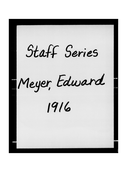Staff Series Meyer, Edward 1916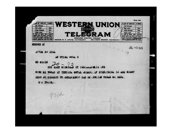| WESTERN UNION<br>ASS DF SERVICE   SYMBOL                                                                                                               |                                         | <b>CLASS OF SERVICE   SYNGOL</b>                                                                                                                                              | Form 1201                |
|--------------------------------------------------------------------------------------------------------------------------------------------------------|-----------------------------------------|-------------------------------------------------------------------------------------------------------------------------------------------------------------------------------|--------------------------|
| Day Message<br><b>Day Letter</b><br>Blue                                                                                                               |                                         | Day Message<br>De Letter                                                                                                                                                      | <b>Blue</b>              |
| <b>Night Message</b><br>Nite<br><b>Night Letter</b><br><b>NL</b><br>ne of these three symb                                                             |                                         | <b>Night Message</b><br><b>Night Letter</b>                                                                                                                                   | <b>Nite</b><br><b>NL</b> |
| pears after the check (number<br>ards) this is a day message. Oth<br>se its character is indicated by<br>mbol appearing after the che<br>icated by the | COMB CARLTON, PRESIDENT                 | <b>Example 2</b> Many Here: symbols<br>appears after the check (number of<br>words) this is a day message. Other-<br>wige its character is indicated by the way of the check. |                          |
| GEORGE W. E. ATKINS, VICE-PRESIDENT<br><b>RECEIVED AT</b>                                                                                              | <b>SELVIDERE BROOKS. VICE-PRESIDENT</b> |                                                                                                                                                                               |                          |
|                                                                                                                                                        |                                         | 015 JUL 3 41 9                                                                                                                                                                | $JUL - 31916$            |
| A770H 24 COLL                                                                                                                                          |                                         | $\mathbb{R}$                                                                                                                                                                  |                          |
| <b>AU UTIGA 945A 3</b>                                                                                                                                 |                                         |                                                                                                                                                                               |                          |
| ED MEIER                                                                                                                                               |                                         |                                                                                                                                                                               |                          |
| 222 EAST MICHIGAN ST INDIANAPOLIS IND                                                                                                                  |                                         |                                                                                                                                                                               |                          |
| CIRE NE RODAN AT TENENCE NOTEL ALBAN . 17 EVERITNING IS ALL RIGHT                                                                                      |                                         |                                                                                                                                                                               |                          |
| SEND DE EZREESS TO OCCAN ALIEN OAK OF POLISH UNDER ME DES.                                                                                             |                                         |                                                                                                                                                                               |                          |
| D. J. T0.11.                                                                                                                                           |                                         |                                                                                                                                                                               |                          |
|                                                                                                                                                        |                                         |                                                                                                                                                                               |                          |
|                                                                                                                                                        |                                         |                                                                                                                                                                               |                          |
| 9312                                                                                                                                                   |                                         |                                                                                                                                                                               |                          |
|                                                                                                                                                        |                                         |                                                                                                                                                                               |                          |
|                                                                                                                                                        |                                         |                                                                                                                                                                               |                          |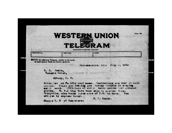| Form 260<br>WESTERN UNION<br>TELEGRAM<br><b>NEWCOMB CARLTON, PRESIDENT</b><br><b>CHECK</b><br><b>TIME FILED</b><br>SEND the following Telegram, aubject to the terms<br>on back hereif, which are hereby agreed to<br>Indianalolis. vid. July 5, 1910<br>D. J. Tebin.<br>Teneyok Hotel, a solvane do carango<br>Albany, l. Y.<br>Situa ien on Pa ific cost same. Indications are that it will<br>Coury and Devring are having trouble in keeping<br>spread.<br>CITICILLE of other labor unions and general<br>TOIX.<br>m <sub>i</sub><br>So far they have been sble to prevent this.<br>strike.<br>Prerything slee being taken care of C.K. to date.<br>Can<br>shired by express today.<br>F. I. Leyer.<br>Cham: e I. B of Teamsters. |                           |  |
|---------------------------------------------------------------------------------------------------------------------------------------------------------------------------------------------------------------------------------------------------------------------------------------------------------------------------------------------------------------------------------------------------------------------------------------------------------------------------------------------------------------------------------------------------------------------------------------------------------------------------------------------------------------------------------------------------------------------------------------|---------------------------|--|
|                                                                                                                                                                                                                                                                                                                                                                                                                                                                                                                                                                                                                                                                                                                                       |                           |  |
|                                                                                                                                                                                                                                                                                                                                                                                                                                                                                                                                                                                                                                                                                                                                       |                           |  |
|                                                                                                                                                                                                                                                                                                                                                                                                                                                                                                                                                                                                                                                                                                                                       |                           |  |
|                                                                                                                                                                                                                                                                                                                                                                                                                                                                                                                                                                                                                                                                                                                                       |                           |  |
|                                                                                                                                                                                                                                                                                                                                                                                                                                                                                                                                                                                                                                                                                                                                       |                           |  |
|                                                                                                                                                                                                                                                                                                                                                                                                                                                                                                                                                                                                                                                                                                                                       | <b>RECEIVER &amp; No.</b> |  |
|                                                                                                                                                                                                                                                                                                                                                                                                                                                                                                                                                                                                                                                                                                                                       |                           |  |
|                                                                                                                                                                                                                                                                                                                                                                                                                                                                                                                                                                                                                                                                                                                                       |                           |  |
|                                                                                                                                                                                                                                                                                                                                                                                                                                                                                                                                                                                                                                                                                                                                       |                           |  |
|                                                                                                                                                                                                                                                                                                                                                                                                                                                                                                                                                                                                                                                                                                                                       |                           |  |
|                                                                                                                                                                                                                                                                                                                                                                                                                                                                                                                                                                                                                                                                                                                                       |                           |  |
|                                                                                                                                                                                                                                                                                                                                                                                                                                                                                                                                                                                                                                                                                                                                       |                           |  |
|                                                                                                                                                                                                                                                                                                                                                                                                                                                                                                                                                                                                                                                                                                                                       |                           |  |
|                                                                                                                                                                                                                                                                                                                                                                                                                                                                                                                                                                                                                                                                                                                                       |                           |  |
|                                                                                                                                                                                                                                                                                                                                                                                                                                                                                                                                                                                                                                                                                                                                       |                           |  |
|                                                                                                                                                                                                                                                                                                                                                                                                                                                                                                                                                                                                                                                                                                                                       |                           |  |
|                                                                                                                                                                                                                                                                                                                                                                                                                                                                                                                                                                                                                                                                                                                                       |                           |  |
|                                                                                                                                                                                                                                                                                                                                                                                                                                                                                                                                                                                                                                                                                                                                       |                           |  |
|                                                                                                                                                                                                                                                                                                                                                                                                                                                                                                                                                                                                                                                                                                                                       |                           |  |
|                                                                                                                                                                                                                                                                                                                                                                                                                                                                                                                                                                                                                                                                                                                                       |                           |  |
|                                                                                                                                                                                                                                                                                                                                                                                                                                                                                                                                                                                                                                                                                                                                       |                           |  |

ŝ

ਵ